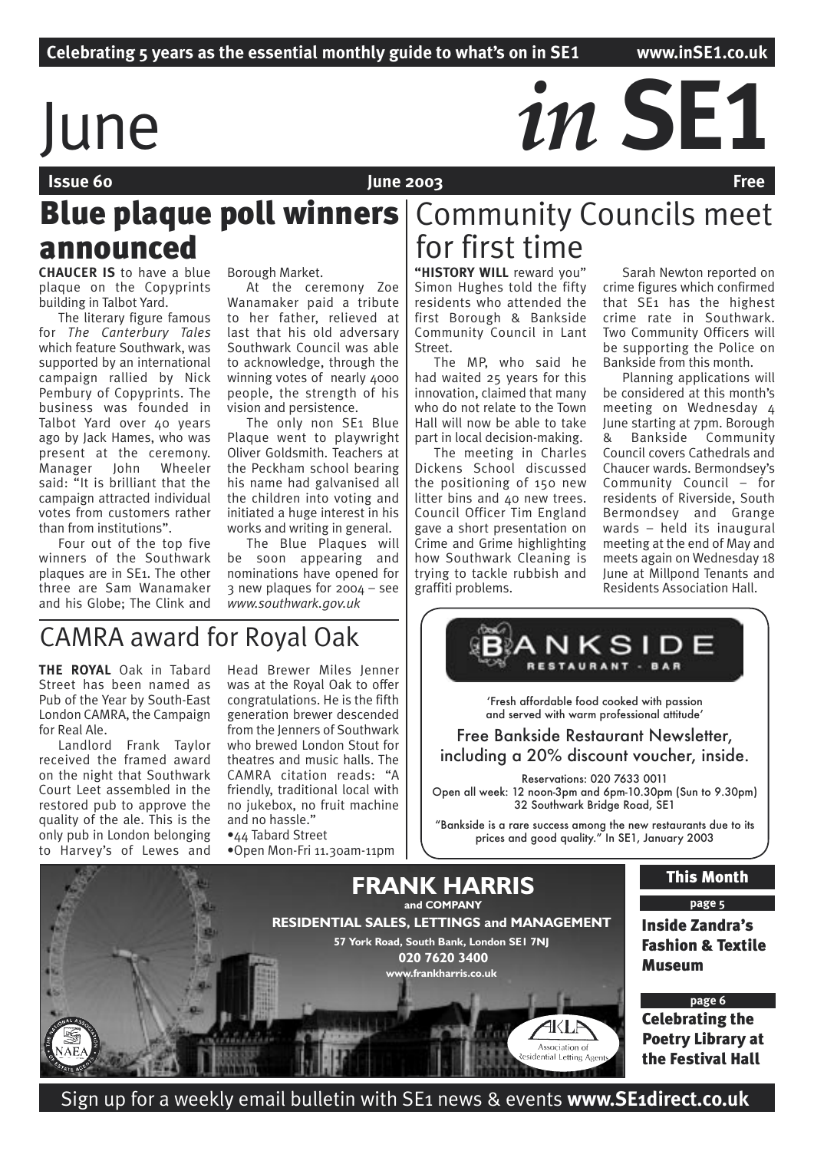# June *in* **SE1**

 **Issue 60 Contract Contract Contract Contract Contract Contract Contract Contract Contract Contract Contract Contract Contract Contract Contract Contract Contract Contract Contract Contract Contract Contract Contract Cont** 

# announced

**CHAUCER IS** to have a blue plaque on the Copyprints building in Talbot Yard.

The literary figure famous for *The Canterbury Tales*  which feature Southwark, was supported by an international campaign rallied by Nick Pembury of Copyprints. The business was founded in Talbot Yard over 40 years ago by Jack Hames, who was present at the ceremony. Manager John Wheeler said: "It is brilliant that the campaign attracted individual votes from customers rather than from institutions".

Four out of the top five winners of the Southwark plaques are in SE1. The other three are Sam Wanamaker and his Globe; The Clink and Borough Market.

At the ceremony Zoe Wanamaker paid a tribute to her father, relieved at last that his old adversary Southwark Council was able to acknowledge, through the winning votes of nearly 4000 people, the strength of his vision and persistence.

The only non SE1 Blue Plaque went to playwright Oliver Goldsmith. Teachers at the Peckham school bearing his name had galvanised all the children into voting and initiated a huge interest in his works and writing in general.

The Blue Plaques will be soon appearing and nominations have opened for 3 new plaques for 2004 – see *www.southwark.gov.uk*

# CAMRA award for Royal Oak

**THE ROYAL** Oak in Tabard Street has been named as Pub of the Year by South-East London CAMRA, the Campaign for Real Ale.

Landlord Frank Taylor received the framed award on the night that Southwark Court Leet assembled in the restored pub to approve the quality of the ale. This is the only pub in London belonging to Harvey's of Lewes and

Head Brewer Miles Jenner was at the Royal Oak to offer congratulations. He is the fifth generation brewer descended from the Jenners of Southwark who brewed London Stout for theatres and music halls. The CAMRA citation reads: "A friendly, traditional local with no jukebox, no fruit machine and no hassle." •44 Tabard Street

•Open Mon-Fri 11.30am-11pm

# **Blue plaque poll winners** Community Councils meet for first time

**"HISTORY WILL** reward you" Simon Hughes told the fifty residents who attended the first Borough & Bankside Community Council in Lant Street.

The MP, who said he had waited 25 years for this innovation, claimed that many who do not relate to the Town Hall will now be able to take part in local decision-making.

The meeting in Charles Dickens School discussed the positioning of 150 new litter bins and 40 new trees. Council Officer Tim England gave a short presentation on Crime and Grime highlighting how Southwark Cleaning is trying to tackle rubbish and graffiti problems.

Sarah Newton reported on crime figures which confirmed that SE1 has the highest crime rate in Southwark. Two Community Officers will be supporting the Police on Bankside from this month.

Planning applications will be considered at this month's meeting on Wednesday 4 June starting at 7pm. Borough & Bankside Community Council covers Cathedrals and Chaucer wards. Bermondsey's Community Council – for residents of Riverside, South Bermondsey and Grange wards – held its inaugural meeting at the end of May and meets again on Wednesday 18 June at Millpond Tenants and Residents Association Hall.



9K I.E Association of sidential Letting A Celebrating the Poetry Library at the Festival Hall **page 6**

# Sign up for a weekly email bulletin with SE1 news & events **www.SE1direct.co.uk**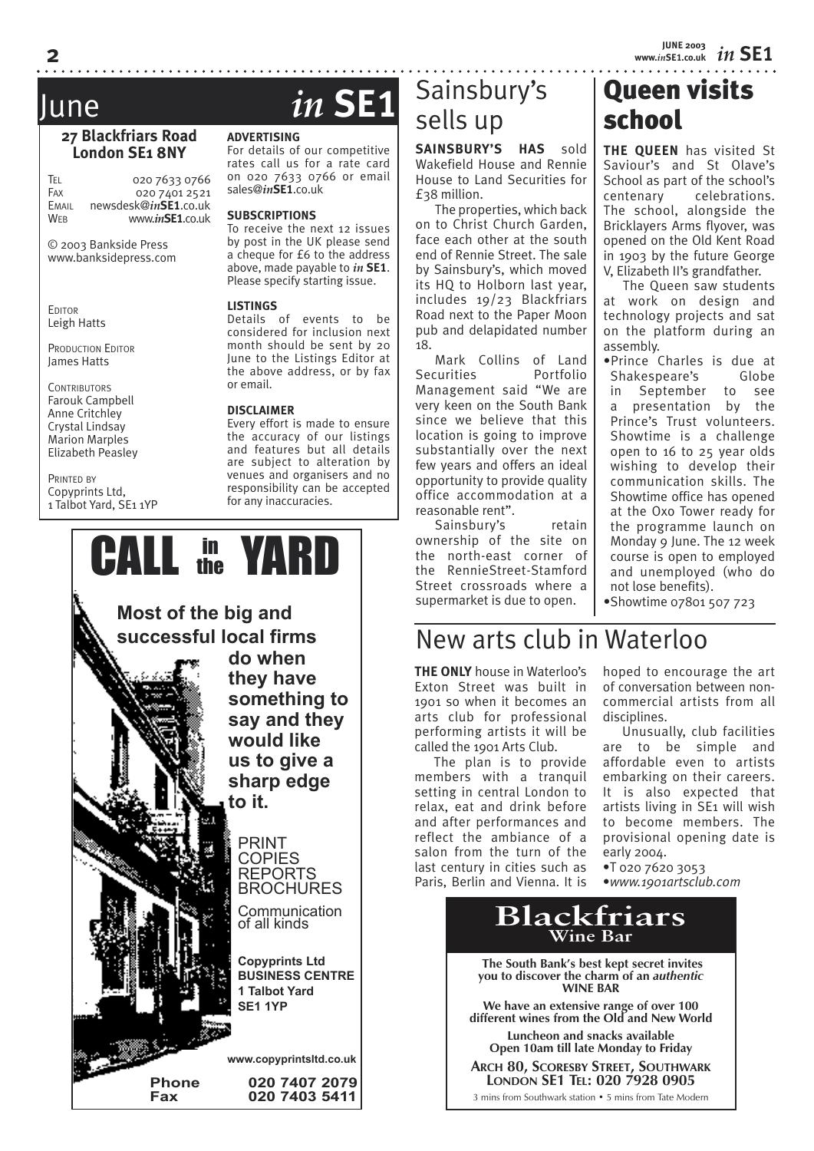*in* **SE1 JUNE 2003 www.***in***SE1.co.uk**

# June *in* **SE1**

# **27 Blackfriars Road London SE1 8NY**

TEL 020 7633 0766 020 7401 2521 EMAIL newsdesk@*in***SE1**.co.uk WEB www.*in***SE1**.co.uk

© 2003 Bankside Press www.banksidepress.com

**EDITOR** Leigh Hatts

PRODUCTION EDITOR James Hatts

**CONTRIBUTORS** Farouk Campbell Anne Critchley Crystal Lindsay Marion Marples Elizabeth Peasley

PRINTED BY Copyprints Ltd, 1 Talbot Yard, SE1 1YP

# **ADVERTISING**

For details of our competitive rates call us for a rate card on 020 7633 0766 or email sales@*in***SE1**.co.uk

# **SUBSCRIPTIONS**

To receive the next 12 issues by post in the UK please send a cheque for £6 to the address above, made payable to *in* **SE1**. Please specify starting issue.

# **LISTINGS**

Details of events to be considered for inclusion next month should be sent by 20 June to the Listings Editor at the above address, or by fax or email.

# **DISCLAIMER**

Every effort is made to ensure the accuracy of our listings and features but all details are subject to alteration by venues and organisers and no responsibility can be accepted for any inaccuracies.



# Sainsbury's sells up

**SAINSBURY'S HAS** sold Wakefield House and Rennie House to Land Securities for £38 million.

The properties, which back on to Christ Church Garden, face each other at the south end of Rennie Street. The sale by Sainsbury's, which moved its HQ to Holborn last year, includes 19/23 Blackfriars Road next to the Paper Moon pub and delapidated number 18.

Mark Collins of Land Securities Portfolio Management said "We are very keen on the South Bank since we believe that this location is going to improve substantially over the next few years and offers an ideal opportunity to provide quality office accommodation at a reasonable rent".

Sainsbury's retain ownership of the site on the north-east corner of the RennieStreet-Stamford Street crossroads where a supermarket is due to open.

# Queen visits school

**THE QUEEN** has visited St Saviour's and St Olave's School as part of the school's centenary celebrations. The school, alongside the Bricklayers Arms flyover, was opened on the Old Kent Road in 1903 by the future George V, Elizabeth II's grandfather.

The Queen saw students at work on design and technology projects and sat on the platform during an assembly.

•Prince Charles is due at Shakespeare's Globe in September to see a presentation by the Prince's Trust volunteers. Showtime is a challenge open to 16 to 25 year olds wishing to develop their communication skills. The Showtime office has opened at the Oxo Tower ready for the programme launch on Monday 9 June. The 12 week course is open to employed and unemployed (who do not lose benefits).

•Showtime 07801 507 723

# New arts club in Waterloo

**THE ONLY** house in Waterloo's Exton Street was built in 1901 so when it becomes an arts club for professional performing artists it will be called the 1901 Arts Club.

The plan is to provide members with a tranquil setting in central London to relax, eat and drink before and after performances and reflect the ambiance of a salon from the turn of the last century in cities such as Paris, Berlin and Vienna. It is

hoped to encourage the art of conversation between noncommercial artists from all disciplines.

Unusually, club facilities are to be simple and affordable even to artists embarking on their careers. It is also expected that artists living in SE1 will wish to become members. The provisional opening date is early 2004.

•T 020 7620 3053

•*www.1901artsclub.com*

# **Blackfriars Wine Bar**

 **The South Bank's best kept secret invites you to discover the charm of an** *authentic* **WINE BAR**

**We have an extensive range of over 100 different wines from the Old and New World**

**Luncheon and snacks available Open 10am till late Monday to Friday**

**ARCH 80, SCORESBY STREET, SOUTHWARK LONDON SE1 TEL: 020 7928 0905**

3 mins from Southwark station • 5 mins from Tate Modern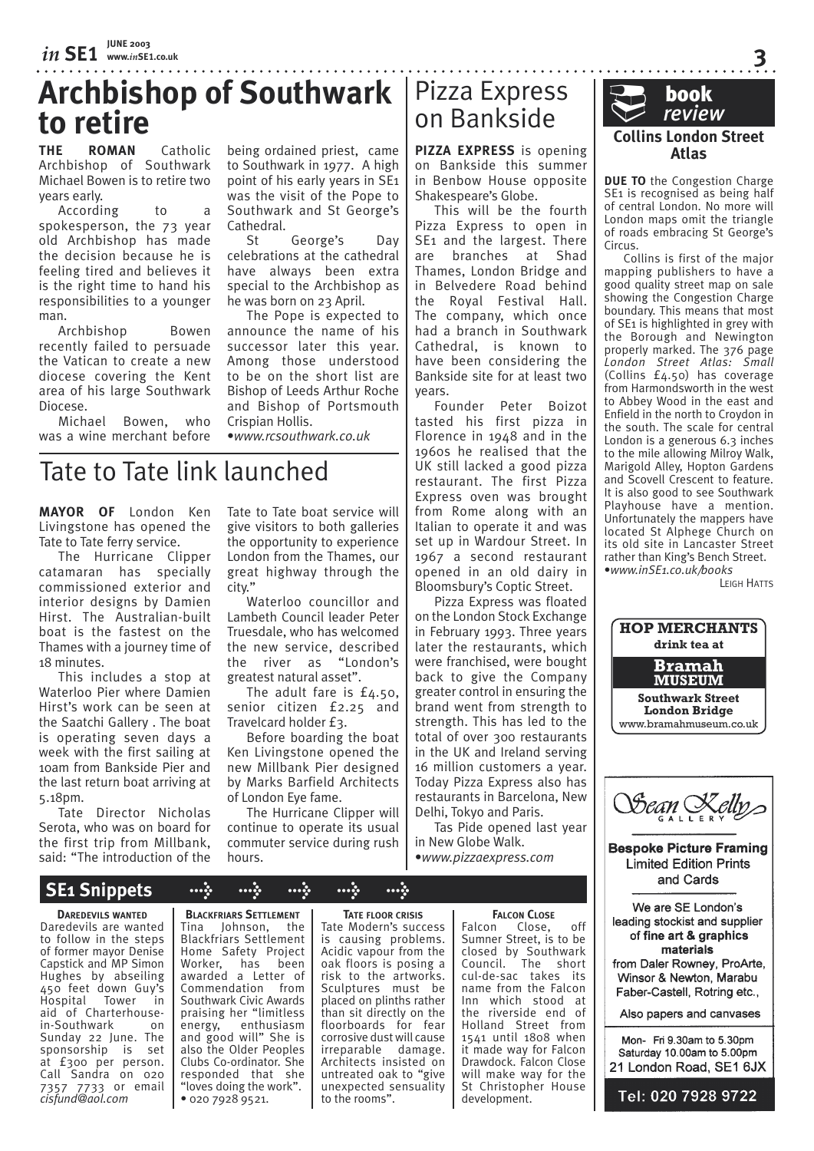# **Archbishop of Southwark**  Pizza Express **to retire**

**THE ROMAN** Catholic Archbishop of Southwark Michael Bowen is to retire two years early.

According to spokesperson, the 73 year old Archbishop has made the decision because he is feeling tired and believes it is the right time to hand his responsibilities to a younger man.

Archbishop Bowen recently failed to persuade the Vatican to create a new diocese covering the Kent area of his large Southwark Diocese.

Michael Bowen, who was a wine merchant before

being ordained priest, came to Southwark in 1977. A high point of his early years in SE1 was the visit of the Pope to Southwark and St George's Cathedral.

George's Day celebrations at the cathedral have always been extra special to the Archbishop as he was born on 23 April.

The Pope is expected to announce the name of his successor later this year. Among those understood to be on the short list are Bishop of Leeds Arthur Roche and Bishop of Portsmouth Crispian Hollis.

•*www.rcsouthwark.co.uk*

# on Bankside

**PIZZA EXPRESS** is opening on Bankside this summer in Benbow House opposite Shakespeare's Globe.

This will be the fourth Pizza Express to open in SE1 and the largest. There are branches at Shad Thames, London Bridge and in Belvedere Road behind the Royal Festival Hall. The company, which once had a branch in Southwark Cathedral, is known to have been considering the Bankside site for at least two years.

Founder Peter Boizot tasted his first pizza in Florence in 1948 and in the 1960s he realised that the UK still lacked a good pizza restaurant. The first Pizza Express oven was brought from Rome along with an Italian to operate it and was set up in Wardour Street. In 1967 a second restaurant opened in an old dairy in Bloomsbury's Coptic Street.

Pizza Express was floated on the London Stock Exchange in February 1993. Three years later the restaurants, which were franchised, were bought back to give the Company greater control in ensuring the brand went from strength to strength. This has led to the total of over 300 restaurants in the UK and Ireland serving 16 million customers a year. Today Pizza Express also has restaurants in Barcelona, New Delhi, Tokyo and Paris.

Tas Pide opened last year in New Globe Walk.

•*www.pizzaexpress.com*

# Tate to Tate link launched

**MAYOR OF** London Ken Livingstone has opened the Tate to Tate ferry service.

The Hurricane Clipper catamaran has specially commissioned exterior and interior designs by Damien Hirst. The Australian-built boat is the fastest on the Thames with a journey time of 18 minutes.

This includes a stop at Waterloo Pier where Damien Hirst's work can be seen at the Saatchi Gallery . The boat is operating seven days a week with the first sailing at 10am from Bankside Pier and the last return boat arriving at 5.18pm.

Tate Director Nicholas Serota, who was on board for the first trip from Millbank, said: "The introduction of the Tate to Tate boat service will give visitors to both galleries the opportunity to experience London from the Thames, our great highway through the city."

Waterloo councillor and Lambeth Council leader Peter Truesdale, who has welcomed the new service, described the river as "London's greatest natural asset".

The adult fare is £4.50, senior citizen £2.25 and Travelcard holder £3.

Before boarding the boat Ken Livingstone opened the new Millbank Pier designed by Marks Barfield Architects of London Eye fame.

The Hurricane Clipper will continue to operate its usual commuter service during rush hours.

**Collins London Street Atlas DUE TO** the Congestion Charge book ¨ *review*

**3**

SE1 is recognised as being half of central London. No more will London maps omit the triangle of roads embracing St George's Circus.

Collins is first of the major mapping publishers to have a good quality street map on sale showing the Congestion Charge boundary. This means that most of SE1 is highlighted in grey with the Borough and Newington properly marked. The 376 page *London Street Atlas: Small* (Collins £4.50) has coverage from Harmondsworth in the west to Abbey Wood in the east and Enfield in the north to Croydon in the south. The scale for central London is a generous 6.3 inches to the mile allowing Milroy Walk, Marigold Alley, Hopton Gardens and Scovell Crescent to feature. It is also good to see Southwark Playhouse have a mention. Unfortunately the mappers have located St Alphege Church on its old site in Lancaster Street rather than King's Bench Street. •*www.inSE1.co.uk/books*

LEIGH HATTS



**Bespoke Picture Framing Limited Edition Prints** and Cards

We are SE London's leading stockist and supplier of fine art & graphics materials from Daler Rowney, ProArte. Winsor & Newton, Marabu Faber-Castell, Rotring etc.,

Also papers and canvases

Mon- Fri 9.30am to 5.30pm Saturday 10.00am to 5.00pm 21 London Road, SE1 6JX

Tel: 020 7928 9722

# **SE1 Snippets > > > > >**

**DAREDEVILS WANTED** Daredevils are wanted to follow in the steps of former mayor Denise Capstick and MP Simon Hughes by abseiling 450 feet down Guy's<br>Hospital Tower in Tower in aid of Charterhouse-<br>in-Southwark on in-Southwark Sunday 22 June. The sponsorship is set at £300 per person. Call Sandra on 020 7357 7733 or email *cisfund@aol.com*

**BLACKFRIARS SETTLEMENT** Tina Johnson, the Blackfriars Settlement Home Safety Project Worker, has been awarded a Letter of Commendation from Southwark Civic Awards praising her "limitless energy, enthusiasm and good will" She is also the Older Peoples Clubs Co-ordinator. She responded that she "loves doing the work". • 020 7928 9521.

**TATE FLOOR CRISIS**

Tate Modern's success is causing problems. Acidic vapour from the oak floors is posing a risk to the artworks. Sculptures must be placed on plinths rather than sit directly on the floorboards for fear corrosive dust will cause irreparable damage. Architects insisted on untreated oak to "give unexpected sensuality to the rooms".

**FALCON CLOSE**<br>Falcon Close Close, off Sumner Street, is to be closed by Southwark Council. The short cul-de-sac takes its name from the Falcon Inn which stood at the riverside end of Holland Street from 1541 until 1808 when it made way for Falcon Drawdock. Falcon Close will make way for the St Christopher House development.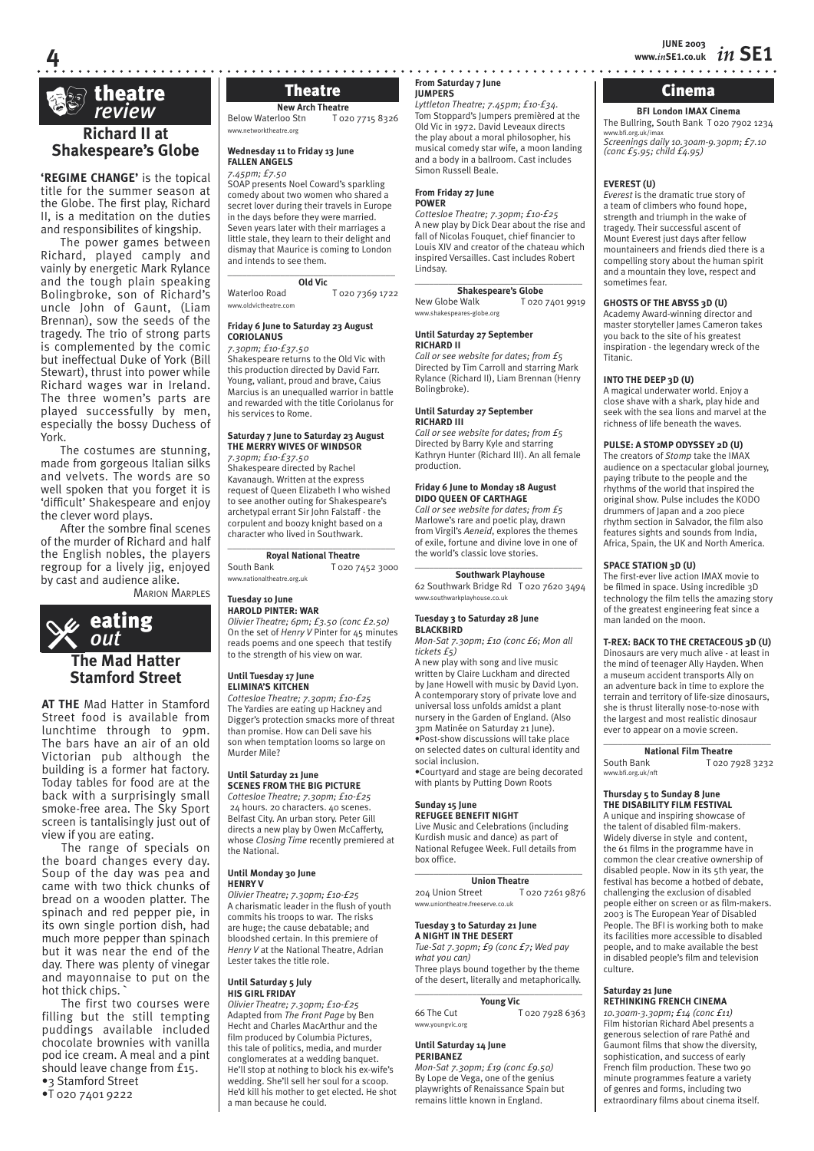

**4**

# **Shakespeare's Globe**

**'REGIME CHANGE'** is the topical title for the summer season at the Globe. The first play, Richard II, is a meditation on the duties and responsibilites of kingship.

The power games between Richard, played camply and vainly by energetic Mark Rylance and the tough plain speaking Bolingbroke, son of Richard's uncle John of Gaunt, (Liam Brennan), sow the seeds of the tragedy. The trio of strong parts is complemented by the comic but ineffectual Duke of York (Bill Stewart), thrust into power while Richard wages war in Ireland. The three women's parts are played successfully by men, especially the bossy Duchess of York.

The costumes are stunning, made from gorgeous Italian silks and velvets. The words are so well spoken that you forget it is 'difficult' Shakespeare and enjoy the clever word plays.

After the sombre final scenes of the murder of Richard and half the English nobles, the players regroup for a lively jig, enjoyed by cast and audience alike.

MARION MARPLES



**AT THE** Mad Hatter in Stamford Street food is available from lunchtime through to 9pm. The bars have an air of an old Victorian pub although the building is a former hat factory. Today tables for food are at the back with a surprisingly small smoke-free area. The Sky Sport screen is tantalisingly just out of view if you are eating.

The range of specials on the board changes every day. Soup of the day was pea and came with two thick chunks of bread on a wooden platter. The spinach and red pepper pie, in its own single portion dish, had much more pepper than spinach but it was near the end of the day. There was plenty of vinegar and mayonnaise to put on the hot thick chips.

The first two courses were filling but the still tempting puddings available included chocolate brownies with vanilla pod ice cream. A meal and a pint should leave change from £15. •3 Stamford Street

•T 020 7401 9222

**New Arch Theatre**<br>rloo Stn T 020 7715 8326 Below Waterloo Stn www.networktheatre.org

# **Wednesday 11 to Friday 13 June FALLEN ANGELS** *7.45pm; £7.50*

SOAP presents Noel Coward's sparkling comedy about two women who shared a secret lover during their travels in Europe in the days before they were married. Seven years later with their marriages a little stale, they learn to their delight and dismay that Maurice is coming to London and intends to see them. \_\_\_\_\_\_\_\_\_\_\_\_\_\_\_\_\_\_\_\_\_\_\_\_\_\_\_\_\_\_\_\_\_\_\_

**Old Vic** Waterloo Road T 020 7369 1722

www.oldvictheatre.com

## **Friday 6 June to Saturday 23 August CORIOLANUS** *7.30pm; £10-£37.50*

Shakespeare returns to the Old Vic with this production directed by David Farr. Young, valiant, proud and brave, Caius Marcius is an unequalled warrior in battle and rewarded with the title Coriolanus for his services to Rome.

# **Saturday 7 June to Saturday 23 August THE MERRY WIVES OF WINDSOR**

*7.30pm; £10-£37.50* Shakespeare directed by Rachel Kavanaugh. Written at the express request of Queen Elizabeth I who wished to see another outing for Shakespeare's archetypal errant Sir John Falstaff - the corpulent and boozy knight based on a character who lived in Southwark.

# $\overline{\phantom{a}}$  , and the set of the set of the set of the set of the set of the set of the set of the set of the set of the set of the set of the set of the set of the set of the set of the set of the set of the set of the s **Royal National Theatre**<br>**Routh Bank T** 020.7

T 020 7452 3000 www.nationaltheatre.org.uk

## **Tuesday 10 June HAROLD PINTER: WAR**

*Olivier Theatre; 6pm; £3.50 (conc £2.50)* On the set of *Henry V* Pinter for 45 minutes reads poems and one speech that testify to the strength of his view on war.

#### **Until Tuesday 17 June ELIMINA'S KITCHEN**

*Cottesloe Theatre; 7.30pm; £10-£25* The Yardies are eating up Hackney and Digger's protection smacks more of threat than promise. How can Deli save his son when temptation looms so large on Murder Mile?

# **Until Saturday 21 June SCENES FROM THE BIG PICTURE**

*Cottesloe Theatre; 7.30pm; £10-£25* 24 hours. 20 characters. 40 scenes. Belfast City. An urban story. Peter Gill directs a new play by Owen McCafferty, whose *Closing Time* recently premiered at the National.

#### **Until Monday 30 June HENRY V**

*Olivier Theatre; 7.30pm; £10-£25* A charismatic leader in the flush of youth commits his troops to war. The risks are huge; the cause debatable; and bloodshed certain. In this premiere of *Henry V* at the National Theatre, Adrian Lester takes the title role.

# **Until Saturday 5 July HIS GIRL FRIDAY**

*Olivier Theatre; 7.30pm; £10-£25* Adapted from *The Front Page* by Ben Hecht and Charles MacArthur and the film produced by Columbia Pictures. this tale of politics, media, and murder conglomerates at a wedding banquet. He'll stop at nothing to block his ex-wife's wedding. She'll sell her soul for a scoop. He'd kill his mother to get elected. He shot a man because he could.

#### **From Saturday 7 June JUMPERS** Theatre **Theorem Cinema**

*Lyttleton Theatre; 7.45pm; £10-£34.* Tom Stoppard's Jumpers premièred at the Old Vic in 1972. David Leveaux directs the play about a moral philosopher, his musical comedy star wife, a moon landing and a body in a ballroom. Cast includes Simon Russell Beale.

#### **From Friday 27 June POWER**

*Cottesloe Theatre; 7.30pm; £10-£25* A new play by Dick Dear about the rise and fall of Nicolas Fouquet, chief financier to Louis XIV and creator of the chateau which inspired Versailles. Cast includes Robert Lindsay.

### $\_$ **Shakespeare's Globe**

New Globe Walk T 020 7401 9919 ww.chakespeares-globe.org

## **Until Saturday 27 September RICHARD II**

*Call or see website for dates; from £5* Directed by Tim Carroll and starring Mark Rylance (Richard II), Liam Brennan (Henry Bolingbroke).

## **Until Saturday 27 September RICHARD III**

*Call or see website for dates; from £5* Directed by Barry Kyle and starring Kathryn Hunter (Richard III). An all female production.

# **Friday 6 June to Monday 18 August DIDO QUEEN OF CARTHAGE**

*Call or see website for dates; from £5* Marlowe's rare and poetic play, drawn from Virgil's *Aeneid*, explores the themes of exile, fortune and divine love in one of the world's classic love stories.

\_\_\_\_\_\_\_\_\_\_\_\_\_\_\_\_\_\_\_\_\_\_\_\_\_\_\_\_\_\_\_\_\_\_\_ **Southwark Playhouse** 62 Southwark Bridge Rd T 020 7620 3494 www.southwarkplayhouse.co.uk

# **Tuesday 3 to Saturday 28 June BLACKBIRD**

*Mon-Sat 7.30pm; £10 (conc £6; Mon all tickets £5)*

A new play with song and live music written by Claire Luckham and directed by Jane Howell with music by David Lyon. A contemporary story of private love and universal loss unfolds amidst a plant nursery in the Garden of England. (Also 3pm Matinée on Saturday 21 June). •Post-show discussions will take place on selected dates on cultural identity and social inclusion. •Courtyard and stage are being decorated

with plants by Putting Down Roots

#### **Sunday 15 June REFUGEE BENEFIT NIGHT**

Live Music and Celebrations (including Kurdish music and dance) as part of National Refugee Week. Full details from box office.

# $\_$

**Union Theatre**<br>reet T 020 7261 9876 204 Union Street www.uniontheatre.freeserve.co.uk

# **Tuesday 3 to Saturday 21 June A NIGHT IN THE DESERT**

*Tue-Sat 7.30pm; £9 (conc £7; Wed pay what you can)* Three plays bound together by the theme

of the desert, literally and metaphorically.  $\_$ 

**Young Vic** 66 The Cut T 020 7928 6363

# **Until Saturday 14 June PERIBANEZ**

www.youngvic.org

*Mon-Sat 7.30pm; £19 (conc £9.50)* By Lope de Vega, one of the genius playwrights of Renaissance Spain but remains little known in England.

**BFI London IMAX Cinema** The Bullring, South Bank T 020 7902 1234 www.bfi.org.uk/imax *Screenings daily 10.30am-9.30pm; £7.10 (conc £5.95; child £4.95)*

# **EVEREST (U)**

*Everest* is the dramatic true story of a team of climbers who found hope, strength and triumph in the wake of tragedy. Their successful ascent of Mount Everest just days after fellow mountaineers and friends died there is a compelling story about the human spirit and a mountain they love, respect and sometimes fear.

# **GHOSTS OF THE ABYSS 3D (U)**

Academy Award-winning director and master storyteller James Cameron takes you back to the site of his greatest inspiration - the legendary wreck of the Titanic.

# **INTO THE DEEP 3D (U)**

A magical underwater world. Enjoy a close shave with a shark, play hide and seek with the sea lions and marvel at the richness of life beneath the waves.

# **PULSE: A STOMP ODYSSEY 2D (U)**

The creators of *Stomp* take the IMAX audience on a spectacular global journey, paying tribute to the people and the rhythms of the world that inspired the original show. Pulse includes the KODO drummers of Japan and a 200 piece rhythm section in Salvador, the film also features sights and sounds from India, Africa, Spain, the UK and North America.

# **SPACE STATION 3D (U)**

The first-ever live action IMAX movie to be filmed in space. Using incredible 3D technology the film tells the amazing story of the greatest engineering feat since a man landed on the moon.

# **T-REX: BACK TO THE CRETACEOUS 3D (U)**

Dinosaurs are very much alive - at least in the mind of teenager Ally Hayden. When a museum accident transports Ally on an adventure back in time to explore the terrain and territory of life-size dinosaurs, she is thrust literally nose-to-nose with the largest and most realistic dinosaur ever to appear on a movie screen.  $\_$ 

**National Film Theatre**<br>F 020.7 T 020 7928 3232 www.bfi.org.uk/nft

## **Thursday 5 to Sunday 8 June THE DISABILITY FILM FESTIVAL**

A unique and inspiring showcase of the talent of disabled film-makers. Widely diverse in style and content, the 61 films in the programme have in common the clear creative ownership of disabled people. Now in its 5th year, the festival has become a hotbed of debate, challenging the exclusion of disabled people either on screen or as film-makers. 2003 is The European Year of Disabled People. The BFI is working both to make its facilities more accessible to disabled people, and to make available the best in disabled people's film and television culture.

#### **Saturday 21 June RETHINKING FRENCH CINEMA**

*10.30am-3.30pm; £14 (conc £11)* Film historian Richard Abel presents a generous selection of rare Pathé and Gaumont films that show the diversity, sophistication, and success of early French film production. These two 90 minute programmes feature a variety of genres and forms, including two extraordinary films about cinema itself.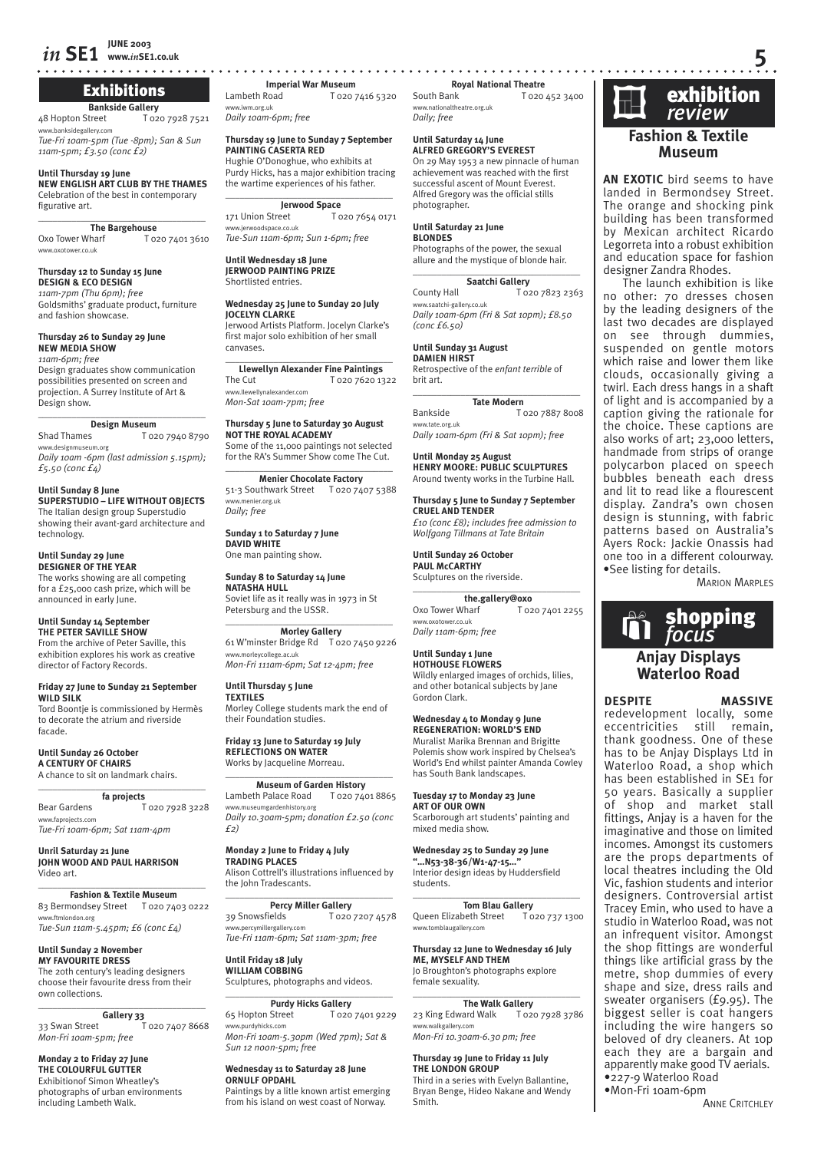# **Exhibitions**

**Bankside Gallery**<br>treet 1020 7928 7521 48 Hopton Street degallery.com

*Tue-Fri 10am-5pm (Tue -8pm); San & Sun 11am-5pm; £3.50 (conc £2)*

# **Until Thursday 19 June NEW ENGLISH ART CLUB BY THE THAMES**

Celebration of the best in contemporary figurative art. \_\_\_\_\_\_\_\_\_\_\_\_\_\_\_\_\_\_\_\_\_\_\_\_\_\_\_\_\_\_\_\_\_\_\_

**The Bargehouse**<br>
To2074013610 oxo Tower Wharf www.oxotower.co.uk

## **Thursday 12 to Sunday 15 June DESIGN & ECO DESIGN** *11am-7pm (Thu 6pm); free* Goldsmiths' graduate product, furniture and fashion showcase.

# **Thursday 26 to Sunday 29 June NEW MEDIA SHOW**

*11am-6pm; free* Design graduates show communication possibilities presented on screen and projection. A Surrey Institute of Art & Design show. \_\_\_\_\_\_\_\_\_\_\_\_\_\_\_\_\_\_\_\_\_\_\_\_\_\_\_\_\_\_\_\_\_\_\_

**Design Museum**<br>Shad Thames **T** 02 T 020 7940 8790 www.designmuseum.org

*Daily 10am -6pm (last admission 5.15pm); £5.50 (conc £4)*

# **Until Sunday 8 June**

**SUPERSTUDIO – LIFE WITHOUT OBJECTS** The Italian design group Superstudio showing their avant-gard architecture and technology.

# **Until Sunday 29 June**

**DESIGNER OF THE YEAR** The works showing are all competing for a £25,000 cash prize, which will be announced in early June.

## **Until Sunday 14 September THE PETER SAVILLE SHOW**

From the archive of Peter Saville, this exhibition explores his work as creative director of Factory Records.

# **Friday 27 June to Sunday 21 September WILD SILK**

Tord Boontje is commissioned by Hermès to decorate the atrium and riverside facade.

#### **Until Sunday 26 October A CENTURY OF CHAIRS**

A chance to sit on landmark chairs. \_\_\_\_\_\_\_\_\_\_\_\_\_\_\_\_\_\_\_\_\_\_\_\_\_\_\_\_\_\_\_\_\_\_\_

**fa projects** Bear Gardens T 020 7928 3228 www.faprojects.com *Tue-Fri 10am-6pm; Sat 11am-4pm*

**Unril Saturday 21 June JOHN WOOD AND PAUL HARRISON** Video art.

\_\_\_\_\_\_\_\_\_\_\_\_\_\_\_\_\_\_\_\_\_\_\_\_\_\_\_\_\_\_\_\_\_\_\_ **Fashion & Textile Museum** 83 Bermondsey Street T 020 7403 0222 www.ftmlondon.org *Tue-Sun 11am-5.45pm; £6 (conc £4)*

# **Until Sunday 2 November**

**MY FAVOURITE DRESS** The 20th century's leading designers choose their favourite dress from their own collections.

## \_\_\_\_\_\_\_\_\_\_\_\_\_\_\_\_\_\_\_\_\_\_\_\_\_\_\_\_\_\_\_\_\_\_\_ **Gallery 33**

33 Swan Street T 020 7407 8668 *Mon-Fri 10am-5pm; free*

**Monday 2 to Friday 27 June THE COLOURFUL GUTTER** Exhibitionof Simon Wheatley's photographs of urban environments including Lambeth Walk.

**www.***in***SE1.co.uk 5 Imperial War Museum**<br>**I** diambeth Road **I** D20 7

# T 020 7416 5320 www.iwm.org.uk *Daily 10am-6pm; free*

**Thursday 19 June to Sunday 7 September PAINTING CASERTA RED** Hughie O'Donoghue, who exhibits at

Purdy Hicks, has a major exhibition tracing the wartime experiences of his father.  $\_$ 

#### **Jerwood Space** 171 Union Street T 020 7654 0171

www.jerwoodspace.co.uk *Tue-Sun 11am-6pm; Sun 1-6pm; free*

**Until Wednesday 18 June JERWOOD PAINTING PRIZE** Shortlisted entries.

# **Wednesday 25 June to Sunday 20 July JOCELYN CLARKE**

Jerwood Artists Platform. Jocelyn Clarke's first major solo exhibition of her small canvases.

 $\overline{\phantom{a}}$  , and the set of the set of the set of the set of the set of the set of the set of the set of the set of the set of the set of the set of the set of the set of the set of the set of the set of the set of the s **Llewellyn Alexander Fine Paintings** The Cut T 020 7620 1322 www.llewellynalexander.com

*Mon-Sat 10am-7pm; free*

#### **Thursday 5 June to Saturday 30 August NOT THE ROYAL ACADEMY**

Some of the 11,000 paintings not selected for the RA's Summer Show come The Cut.

#### $\overline{\phantom{a}}$  , and the set of the set of the set of the set of the set of the set of the set of the set of the set of the set of the set of the set of the set of the set of the set of the set of the set of the set of the s **Menier Chocolate Factory** 51-3 Southwark Street T 020 7407 5388 –<br>ww.menier.org.uk *Daily; free*

**Sunday 1 to Saturday 7 June DAVID WHITE**

One man painting show.

# **Sunday 8 to Saturday 14 June NATASHA HULL** Soviet life as it really was in 1973 in St Petersburg and the USSR.

 $\overline{\phantom{a}}$  , and the set of the set of the set of the set of the set of the set of the set of the set of the set of the set of the set of the set of the set of the set of the set of the set of the set of the set of the s **Morley Gallery** 61 W'minster Bridge Rd T 020 7450 9226 www.morleycollege.ac.uk

*Mon-Fri 111am-6pm; Sat 12-4pm; free*

#### **Until Thursday 5 June TEXTILES**

Morley College students mark the end of their Foundation studies.

**Friday 13 June to Saturday 19 July REFLECTIONS ON WATER** Works by Jacqueline Morreau.

#### $\overline{\phantom{a}}$  , and the set of the set of the set of the set of the set of the set of the set of the set of the set of the set of the set of the set of the set of the set of the set of the set of the set of the set of the s **Museum of Garden History**

Lambeth Palace Road T 020 7401 8865 www.museumgardenhistory.org *Daily 10.30am-5pm; donation £2.50 (conc £2)*

#### **Monday 2 June to Friday 4 July TRADING PLACES**

Alison Cottrell's illustrations influenced by the John Tradescants.  $\_$ 

# **Percy Miller Gallery**<br>39 Snowsfields T 020 T 020 7207 4578 www.percymillergallery.com *Tue-Fri 11am-6pm; Sat 11am-3pm; free*

**Until Friday 18 July WILLIAM COBBING**

# Sculptures, photographs and videos.  $\_$

**Purdy Hicks Gallery**<br>65 Honton Street To20 T 020 7401 9229 www.purdyhicks.com *Mon-Fri 10am-5.30pm (Wed 7pm); Sat & Sun 12 noon-5pm; free*

# **Wednesday 11 to Saturday 28 June ORNULF OPDAHL**

Paintings by a litle known artist emerging from his island on west coast of Norway.

**Royal National Theatre**<br>Tozo T 020 452 3400 www.nationaltheatre.org.uk *Daily; free*

## **Until Saturday 14 June ALFRED GREGORY'S EVEREST**

On 29 May 1953 a new pinnacle of human achievement was reached with the first successful ascent of Mount Everest. Alfred Gregory was the official stills photographer.

#### **Until Saturday 21 June BLONDES**

Photographs of the power, the sexual allure and the mystique of blonde hair.

## $\_$ **Saatchi Gallery**

County Hall T 020 7823 2363 www.saatchi-gallery.co.uk *Daily 10am-6pm (Fri & Sat 10pm); £8.50 (conc £6.50)*

# **Until Sunday 31 August**

**DAMIEN HIRST** Retrospective of the *enfant terrible* of brit art.

#### $\_$ **Tate Modern**

Bankside T 020 7887 8008 www.tate.org.uk *Daily 10am-6pm (Fri & Sat 10pm); free*

# **Until Monday 25 August**

**HENRY MOORE: PUBLIC SCULPTURES** Around twenty works in the Turbine Hall.

# **Thursday 5 June to Sunday 7 September**

**CRUEL AND TENDER** *£10 (conc £8); includes free admission to Wolfgang Tillmans at Tate Britain*

**Until Sunday 26 October PAUL McCARTHY** Sculptures on the riverside.  $\_$ 

**the.gallery@oxo** Oxo Tower Wharf w.oxotower.co.uk *Daily 11am-6pm; free*

**Until Sunday 1 June**

# **HOTHOUSE FLOWERS**

Wildly enlarged images of orchids, lilies, and other botanical subjects by Jane Gordon Clark.

**Anjay Displays Waterloo Road DESPITE MASSIVE** redevelopment locally, some eccentricities still remain. thank goodness. One of these has to be Anjay Displays Ltd in Waterloo Road, a shop which has been established in SE1 for 50 years. Basically a supplier<br>of shop and market stall shop and market stall fittings, Anjay is a haven for the imaginative and those on limited incomes. Amongst its customers are the props departments of local theatres including the Old Vic, fashion students and interior designers. Controversial artist Tracey Emin, who used to have a studio in Waterloo Road, was not an infrequent visitor. Amongst the shop fittings are wonderful things like artificial grass by the metre, shop dummies of every shape and size, dress rails and sweater organisers (£9.95). The biggest seller is coat hangers including the wire hangers so beloved of dry cleaners. At 10p each they are a bargain and apparently make good TV aerials.

*focus* **focus** 

**MARION MARPLES** 

•See listing for details.

**Fashion & Textile Museum AN EXOTIC** bird seems to have landed in Bermondsey Street. The orange and shocking pink building has been transformed by Mexican architect Ricardo Legorreta into a robust exhibition and education space for fashion designer Zandra Rhodes.

**Exhibition**<br>*review* 

The launch exhibition is like no other: 70 dresses chosen by the leading designers of the last two decades are displayed on see through dummies, suspended on gentle motors which raise and lower them like clouds, occasionally giving a twirl. Each dress hangs in a shaft of light and is accompanied by a caption giving the rationale for the choice. These captions are also works of art; 23,000 letters, handmade from strips of orange polycarbon placed on speech bubbles beneath each dress and lit to read like a flourescent display. Zandra's own chosen design is stunning, with fabric patterns based on Australia's Ayers Rock: Jackie Onassis had one too in a different colourway.

•227-9 Waterloo Road •Mon-Fri 10am-6pm

**ANNE CRITCHLEY** 

#### **Wednesday 4 to Monday 9 June REGENERATION: WORLD'S END**

Muralist Marika Brennan and Brigitte Polemis show work inspired by Chelsea's World's End whilst painter Amanda Cowley has South Bank landscapes.

#### **Tuesday 17 to Monday 23 June ART OF OUR OWN**

Scarborough art students' painting and mixed media show.

# **Wednesday 25 to Sunday 29 June**

**"…N53-38-36/W1-47-15…"** Interior design ideas by Huddersfield students.

## $\_$ **Tom Blau Gallery**

Queen Elizabeth Street To20 737 1300 www.tomblaugallery.com

# **Thursday 12 June to Wednesday 16 July ME, MYSELF AND THEM**

Jo Broughton's photographs explore female sexuality.  $\_$ 

# **The Walk Gallery** 23 King Edward Walk T 020 7928 3786 www.walkgallery.com

*Mon-Fri 10.30am-6.30 pm; free*

# **Thursday 19 June to Friday 11 July THE LONDON GROUP**

Third in a series with Evelyn Ballantine, Bryan Benge, Hideo Nakane and Wendy Smith.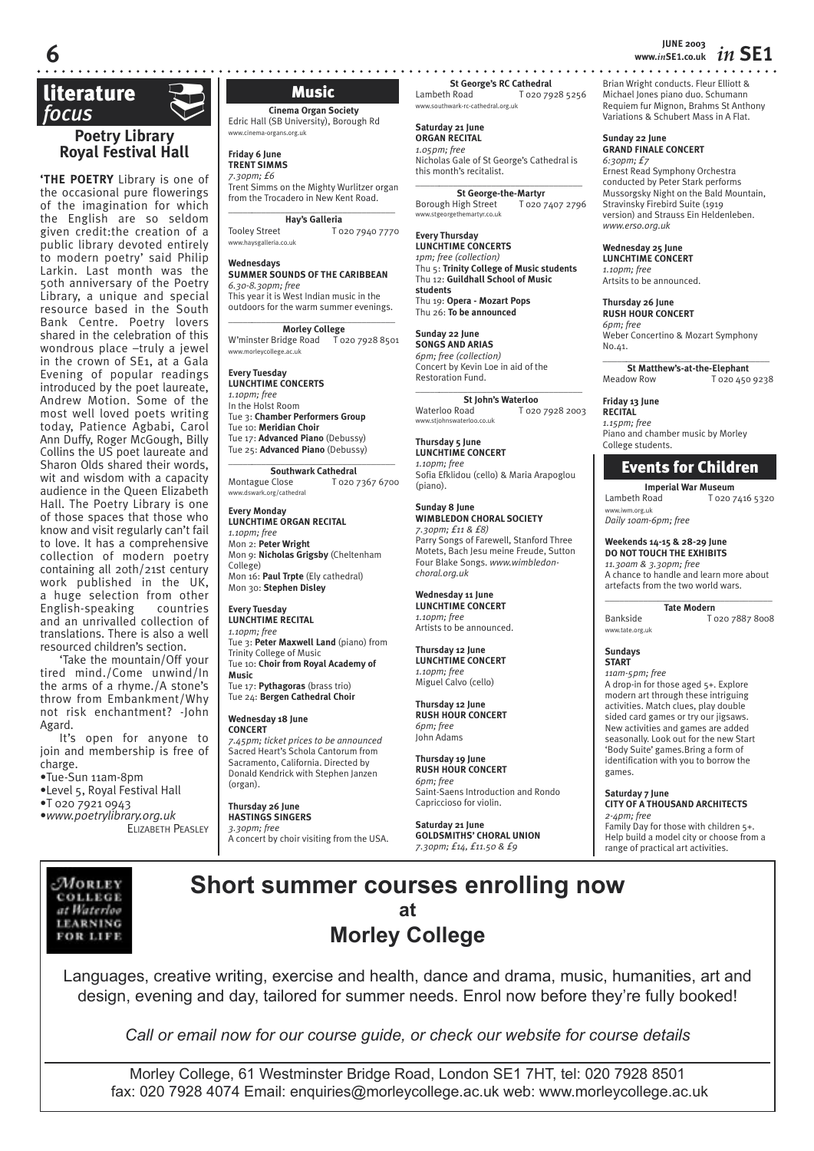# literature **by**

# **Poetry Library Royal Festival Hall**

**'THE POETRY** Library is one of the occasional pure flowerings of the imagination for which the English are so seldom given credit:the creation of a public library devoted entirely to modern poetry' said Philip Larkin. Last month was the 50th anniversary of the Poetry Library, a unique and special resource based in the South Bank Centre. Poetry lovers shared in the celebration of this wondrous place –truly a jewel in the crown of SE1, at a Gala Evening of popular readings introduced by the poet laureate, Andrew Motion. Some of the most well loved poets writing today, Patience Agbabi, Carol Ann Duffy, Roger McGough, Billy Collins the US poet laureate and Sharon Olds shared their words, wit and wisdom with a capacity audience in the Queen Elizabeth Hall. The Poetry Library is one of those spaces that those who know and visit regularly can't fail to love. It has a comprehensive collection of modern poetry containing all 20th/21st century work published in the UK, a huge selection from other English-speaking countries and an unrivalled collection of translations. There is also a well resourced children's section.

'Take the mountain/Off your tired mind./Come unwind/In the arms of a rhyme./A stone's throw from Embankment/Why not risk enchantment? -John Agard.

It's open for anyone to join and membership is free of charge. •Tue-Sun 11am-8pm

•Level 5, Royal Festival Hall •T 020 7921 0943 •*www.poetrylibrary.org.uk*

ELIZABETH PEASLEY

# Music

**Cinema Organ Society** Edric Hall (SB University), Borough Rd www.cinema-organs.org.uk

**Friday 6 June TRENT SIMMS** *7.30pm; £6* Trent Simms on the Mighty Wurlitzer organ from the Trocadero in New Kent Road.

\_\_\_\_\_*\_\_\_\_\_\_\_\_\_\_\_\_\_\_\_\_\_\_\_\_\_\_\_\_\_\_\_\_\_\_* **Hay's Galleria**

Tooley Street T 020 7940 7770 www.haysgalleria.co.uk

# **Wednesdays**

# **SUMMER SOUNDS OF THE CARIBBEAN** *6.30-8.30pm; free*

This year it is West Indian music in the outdoors for the warm summer evenings. \_\_\_\_\_*\_\_\_\_\_\_\_\_\_\_\_\_\_\_\_\_\_\_\_\_\_\_\_\_\_\_\_\_\_\_*

**Morley College** W'minster Bridge Road To20 7928 8501 www.morleycollege.ac.uk

**Every Tuesday LUNCHTIME CONCERTS** *1.10pm; free* In the Holst Room Tue 3: **Chamber Performers Group** Tue 10: **Meridian Choir** Tue 17: **Advanced Piano** (Debussy) Tue 25: **Advanced Piano** (Debussy) \_\_\_\_\_*\_\_\_\_\_\_\_\_\_\_\_\_\_\_\_\_\_\_\_\_\_\_\_\_\_\_\_\_\_\_*

**Southwark Cathedral**<br>Montague Close T 020 T 020 7367 6700 www.dswark.org/cathedral

#### **Every Monday LUNCHTIME ORGAN RECITAL**

*1.10pm; free* Mon 2: **Peter Wright** Mon 9: **Nicholas Grigsby** (Cheltenham College) Mon 16: **Paul Trpte** (Ely cathedral) Mon 30: **Stephen Disley**

**Every Tuesday LUNCHTIME RECITAL** *1.10pm; free* Tue 3: **Peter Maxwell Land** (piano) from Trinity College of Music Tue 10: **Choir from Royal Academy of Music**

Tue 17: **Pythagoras** (brass trio) Tue 24: **Bergen Cathedral Choir** 

#### **Wednesday 18 June CONCERT**

*7.45pm; ticket prices to be announced* Sacred Heart's Schola Cantorum from Sacramento, California. Directed by Donald Kendrick with Stephen Janzen (organ).

# **Thursday 26 June HASTINGS SINGERS**

*3.30pm; free* A concert by choir visiting from the USA. **St George's RC Cathedral**<br>Lambeth Road T 020 79 T 020 7928 5256

**Saturday 21 June ORGAN RECITAL** *1.05pm; free*

www.southwark-rc-cathedral.org.uk

Nicholas Gale of St George's Cathedral is this month's recitalist. \_\_\_\_\_*\_\_\_\_\_\_\_\_\_\_\_\_\_\_\_\_\_\_\_\_\_\_\_\_\_\_\_\_\_\_*

**St George-the-Martyr<br>
High Street** T 020 7407 2796 Borough High Street www.stgeorgethemartyr.co.uk

**Every Thursday**

**LUNCHTIME CONCERTS** *1pm; free (collection)* Thu 5: **Trinity College of Music students** Thu 12: **Guildhall School of Music students** Thu 19: **Opera - Mozart Pops** Thu 26: **To be announced**

**Sunday 22 June SONGS AND ARIAS** *6pm; free (collection)* Concert by Kevin Loe in aid of the Restoration Fund. \_\_\_\_\_*\_\_\_\_\_\_\_\_\_\_\_\_\_\_\_\_\_\_\_\_\_\_\_\_\_\_\_\_\_\_*

**St John's Waterloo**<br>Waterloo Road To2c T 020 7928 2003 www.stjohnswaterloo.co.uk

**Thursday 5 June LUNCHTIME CONCERT** *1.10pm; free* Sofia Efklidou (cello) & Maria Arapoglou (piano).

**Sunday 8 June WIMBLEDON CHORAL SOCIETY** *7.30pm; £11 & £8)* Parry Songs of Farewell, Stanford Three Motets, Bach Jesu meine Freude, Sutton Four Blake Songs. *www.wimbledonchoral.org.uk* 

**Wednesday 11 June LUNCHTIME CONCERT** *1.10pm; free* Artists to be announced.

**Thursday 12 June LUNCHTIME CONCERT** *1.10pm; free* Miguel Calvo (cello)

**Thursday 12 June RUSH HOUR CONCERT** *6pm; free* John Adams

**Thursday 19 June RUSH HOUR CONCERT** *6pm; free* Saint-Saens Introduction and Rondo Capriccioso for violin.

**Saturday 21 June GOLDSMITHS' CHORAL UNION** *7.30pm; £14, £11.50 & £9*

Brian Wright conducts. Fleur Elliott & Michael Jones piano duo. Schumann Requiem fur Mignon, Brahms St Anthony Variations & Schubert Mass in A Flat.

# **Sunday 22 June GRAND FINALE CONCERT**

*6:30pm; £7* Ernest Read Symphony Orchestra conducted by Peter Stark performs Mussorgsky Night on the Bald Mountain, Stravinsky Firebird Suite (1919 version) and Strauss Ein Heldenleben. *www.erso.org.uk*

**Wednesday 25 June LUNCHTIME CONCERT**

*1.10pm; free* Artsits to be announced.

**Thursday 26 June RUSH HOUR CONCERT** *6pm; free*  Weber Concertino & Mozart Symphony No.41.

\_\_\_\_\_*\_\_\_\_\_\_\_\_\_\_\_\_\_\_\_\_\_\_\_\_\_\_\_\_\_\_\_\_\_\_* **St Matthew's-at-the-Elephant**<br>ow Row T 020 450 9238 Meadow Row

**Friday 13 June RECITAL** *1.15pm; free* Piano and chamber music by Morley College students.

# Events for Children

**Imperial War Museum**<br>Road T 020 7416 5320 Lambeth Road www.iwm.org.uk *Daily 10am-6pm; free* 

**Weekends 14-15 & 28-29 June DO NOT TOUCH THE EXHIBITS** *11.30am & 3.30pm; free* A chance to handle and learn more about artefacts from the two world wars.

 $\_$ **Tate Modern**

Bankside T 020 7887 8008 www.tate.org.uk

**START**

*11am-5pm; free*  A drop-in for those aged 5+. Explore modern art through these intriguing activities. Match clues, play double sided card games or try our jigsaws. New activities and games are added seasonally. Look out for the new Start 'Body Suite' games.Bring a form of identification with you to borrow the games.

**Saturday 7 June CITY OF A THOUSAND ARCHITECTS**  *2-4pm; free*

Family Day for those with children 5+. Help build a model city or choose from a range of practical art activities.



# **Short summer courses enrolling now at Morley College**

Languages, creative writing, exercise and health, dance and drama, music, humanities, art and design, evening and day, tailored for summer needs. Enrol now before they're fully booked!

*Call or email now for our course guide, or check our website for course details*

Morley College, 61 Westminster Bridge Road, London SE1 7HT, tel: 020 7928 8501 fax: 020 7928 4074 Email: enquiries@morleycollege.ac.uk web: www.morleycollege.ac.uk

# **JUNE 2003 6 www.***in***SE1.co.uk** *in* **SE1**

**Sundays**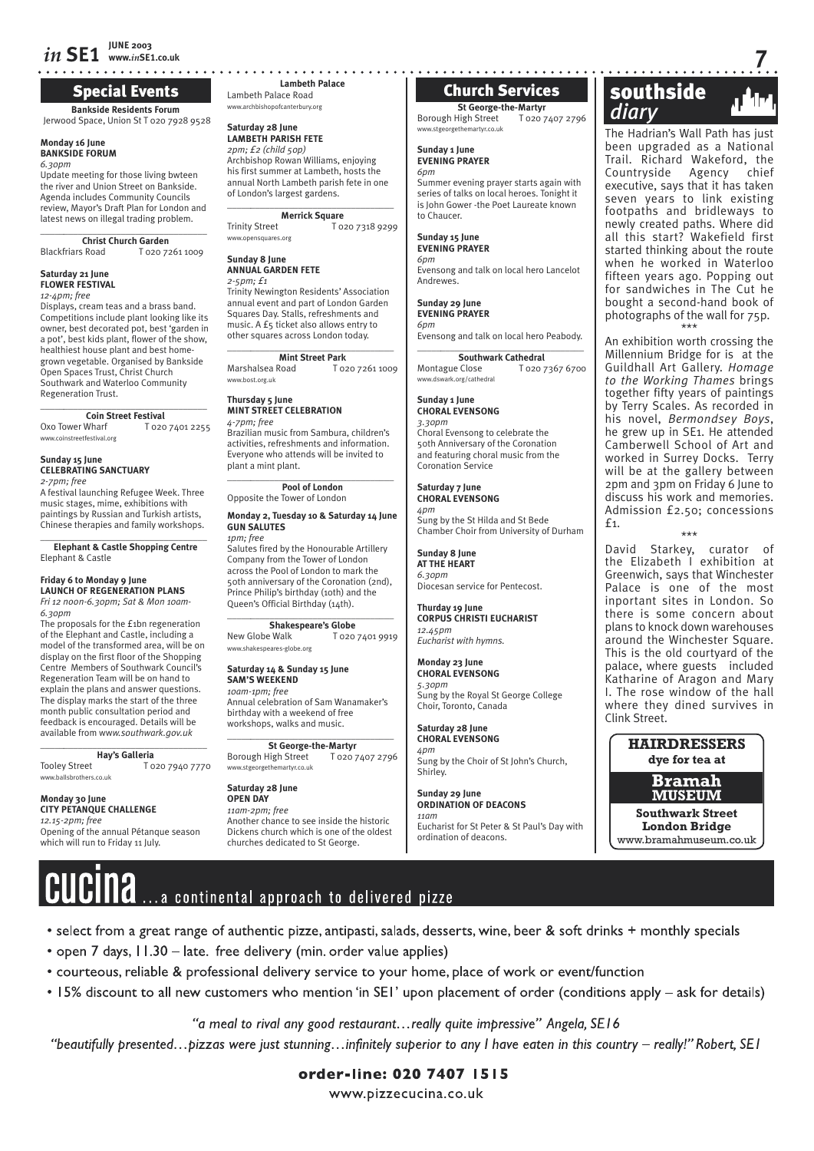# Special Events

Jerwood Space, Union St T 020 7928 9528

# **Monday 16 June BANKSIDE FORUM**

*6.30pm*

Update meeting for those living bwteen the river and Union Street on Bankside. Agenda includes Community Councils review, Mayor's Draft Plan for London and latest news on illegal trading problem.

\_\_\_\_\_*\_\_\_\_\_\_\_\_\_\_\_\_\_\_\_\_\_\_\_\_\_\_\_\_\_\_\_\_\_\_* **Christ Church Garden**<br>Blackfriars Road<br>T 020 7: T 020 7261 1009

# **Saturday 21 June FLOWER FESTIVAL** *12-4pm; free*

Displays, cream teas and a brass band. Competitions include plant looking like its owner, best decorated pot, best 'garden in a pot', best kids plant, flower of the show, healthiest house plant and best homegrown vegetable. Organised by Bankside Open Spaces Trust, Christ Church

Southwark and Waterloo Community Regeneration Trust. \_\_\_\_\_*\_\_\_\_\_\_\_\_\_\_\_\_\_\_\_\_\_\_\_\_\_\_\_\_\_\_\_\_\_\_* **Coin Street Festival**<br>Oxo Tower Wharf T 020 T 020 7401 2255

www.coinstreetfestival.org **Sunday 15 June CELEBRATING SANCTUARY**

*2-7pm; free*

A festival launching Refugee Week. Three music stages, mime, exhibitions with paintings by Russian and Turkish artists, Chinese therapies and family workshops. \_\_\_\_\_*\_\_\_\_\_\_\_\_\_\_\_\_\_\_\_\_\_\_\_\_\_\_\_\_\_\_\_\_\_\_*

**Elephant & Castle Shopping Centre** Elephant & Castle

# **Friday 6 to Monday 9 June LAUNCH OF REGENERATION PLANS**

*Fri 12 noon-6.30pm; Sat & Mon 10am-6.30pm*

The proposals for the £1bn regeneration of the Elephant and Castle, including a model of the transformed area, will be on display on the first floor of the Shopping Centre Members of Southwark Council's Regeneration Team will be on hand to explain the plans and answer questions. The display marks the start of the three month public consultation period and feedback is encouraged. Details will be available from ww*w.southwark.gov.uk*

## \_\_\_\_\_*\_\_\_\_\_\_\_\_\_\_\_\_\_\_\_\_\_\_\_\_\_\_\_\_\_\_\_\_\_\_* **Hay's Galleria**

Tooley Street T 020 7940 7770 www.ballsbrothers.co.uk

# **Monday 30 June**

**CITY PETANQUE CHALLENGE** *12.15-2pm; free* Opening of the annual Pétanque season which will run to Friday 11 July.

**Lambeth Palace** Lambeth Palace Road

w.archbishopofcanterbury.org **Saturday 28 June**

# **LAMBETH PARISH FETE** *2pm; £2 (child 50p)*

Archbishop Rowan Williams, enjoying his first summer at Lambeth, hosts the annual North Lambeth parish fete in one of London's largest gardens.

**Merrick Square**

# Trinity Street To20 7318 9299 www.opensquares.org

\_\_\_\_\_*\_\_\_\_\_\_\_\_\_\_\_\_\_\_\_\_\_\_\_\_\_\_\_\_\_\_\_\_\_\_*

#### **Sunday 8 June ANNUAL GARDEN FETE** *2-5pm; £1*

Trinity Newington Residents' Association annual event and part of London Garden Squares Day. Stalls, refreshments and music. A £5 ticket also allows entry to other squares across London today. \_\_\_\_\_*\_\_\_\_\_\_\_\_\_\_\_\_\_\_\_\_\_\_\_\_\_\_\_\_\_\_\_\_\_\_*

**Mint Street Park**<br>Road T 020 7261 1009 Marshalsea Road www.bost.org.uk

# **Thursday 5 June MINT STREET CELEBRATION**

*4-7pm; free* Brazilian music from Sambura, children's activities, refreshments and information. Everyone who attends will be invited to plant a mint plant.

\_\_\_\_\_*\_\_\_\_\_\_\_\_\_\_\_\_\_\_\_\_\_\_\_\_\_\_\_\_\_\_\_\_\_\_*

**Pool of London** Opposite the Tower of London

## **Monday 2, Tuesday 10 & Saturday 14 June GUN SALUTES** *1pm; free*

Salutes fired by the Honourable Artillery Company from the Tower of London across the Pool of London to mark the 50th anniversary of the Coronation (2nd), Prince Philip's birthday (10th) and the Queen's Official Birthday (14th).

# \_\_\_\_\_*\_\_\_\_\_\_\_\_\_\_\_\_\_\_\_\_\_\_\_\_\_\_\_\_\_\_\_\_\_\_* **Shakespeare's Globe**<br>**T** 020 7401 9919

New Globe Walk www.shakespeares-globe.org

#### **Saturday 14 & Sunday 15 June SAM'S WEEKEND**

*10am-1pm; free* Annual celebration of Sam Wanamaker's birthday with a weekend of free workshops, walks and music.

\_\_\_\_\_*\_\_\_\_\_\_\_\_\_\_\_\_\_\_\_\_\_\_\_\_\_\_\_\_\_\_\_\_\_\_* **St George-the-Martyr** Borough High Street T 020 7407 2796 w.stgeorgethemartyr.co.uk

# **Saturday 28 June**

**OPEN DAY** *11am-2pm; free* Another chance to see inside the historic Dickens church which is one of the oldest churches dedicated to St George.

# Church Services

**St George-the-Martyr**<br>**Borough High Street** T 020 7 T 020 7407 2796 www.stgeorgethemartyr.co.uk

#### **Sunday 1 June EVENING PRAYER**

*6pm* Summer evening prayer starts again with series of talks on local heroes. Tonight it is John Gower -the Poet Laureate known to Chaucer.

**Sunday 15 June EVENING PRAYER** *6pm*

Evensong and talk on local hero Lancelot Andrewes.

#### **Sunday 29 June EVENING PRAYER**

*6pm* Evensong and talk on local hero Peabody.

\_\_\_\_\_*\_\_\_\_\_\_\_\_\_\_\_\_\_\_\_\_\_\_\_\_\_\_\_\_\_\_\_\_\_\_* **Southwark Cathedral**<br>
Montague Close T 020

T 020 7367 6700 www.<br>www.org/cathedral

#### **Sunday 1 June CHORAL EVENSONG**

*3.30pm* Choral Evensong to celebrate the 50th Anniversary of the Coronation and featuring choral music from the Coronation Service

# **Saturday 7 June CHORAL EVENSONG**

*4pm*  Sung by the St Hilda and St Bede Chamber Choir from University of Durham

## **Sunday 8 June AT THE HEART** *6.30pm* Diocesan service for Pentecost.

**Thurday 19 June CORPUS CHRISTI EUCHARIST** *12.45pm Eucharist with hymns.*

# **Monday 23 June**

**CHORAL EVENSONG** *5.30pm* Sung by the Royal St George College Choir, Toronto, Canada

**Saturday 28 June CHORAL EVENSONG** *4pm* Sung by the Choir of St John's Church, Shirley.

#### **Sunday 29 June ORDINATION OF DEACONS** *11am* Eucharist for St Peter & St Paul's Day with ordination of deacons.

 southside Special Events<br>
Bankside Residents Forum<br> **Bankside Residents Forum**<br> **Bankside Residents Forum**<br> **Bankside Residents Forum**<br> **Bankside Residents Forum**<br> **Bankside Residents Forum**<br> **Bankside Residents Forum**<br> **Bankside Re** 

The Hadrian's Wall Path has just been upgraded as a National Trail. Richard Wakeford, the Countryside Agency chief executive, says that it has taken seven years to link existing footpaths and bridleways to newly created paths. Where did all this start? Wakefield first started thinking about the route when he worked in Waterloo fifteen years ago. Popping out for sandwiches in The Cut he bought a second-hand book of photographs of the wall for 75p. \*\*\*

An exhibition worth crossing the Millennium Bridge for is at the Guildhall Art Gallery. *Homage to the Working Thames* brings together fifty years of paintings by Terry Scales. As recorded in his novel, *Bermondsey Boys*, he grew up in SE1. He attended Camberwell School of Art and worked in Surrey Docks. Terry will be at the gallery between 2pm and 3pm on Friday 6 June to discuss his work and memories. Admission £2.50; concessions  $f<sub>1</sub>$ 

\*\*\*

David Starkey, curator of the Elizabeth I exhibition at Greenwich, says that Winchester Palace is one of the most inportant sites in London. So there is some concern about plans to knock down warehouses around the Winchester Square. This is the old courtyard of the palace, where guests included Katharine of Aragon and Mary I. The rose window of the hall where they dined survives in Clink Street.



**Southwark Street Bramah MUSEUM**

**London Bridge** www.bramahmuseum.co.uk



- select from a great range of authentic pizze, antipasti, salads, desserts, wine, beer & soft drinks + monthly specials
- open 7 days, 11.30 late. free delivery (min. order value applies)
- courteous, reliable & professional delivery service to your home, place of work or event/function
- 15% discount to all new customers who mention 'in SE1' upon placement of order (conditions apply ask for details)

"a meal to rival any good restaurant...really quite impressive" Angela, SE16

"beautifully presented... pizzas were just stunning...infinitely superior to any I have eaten in this country - really!" Robert, SEI

# order-line: 020 7407 1515

www.pizzecucina.co.uk